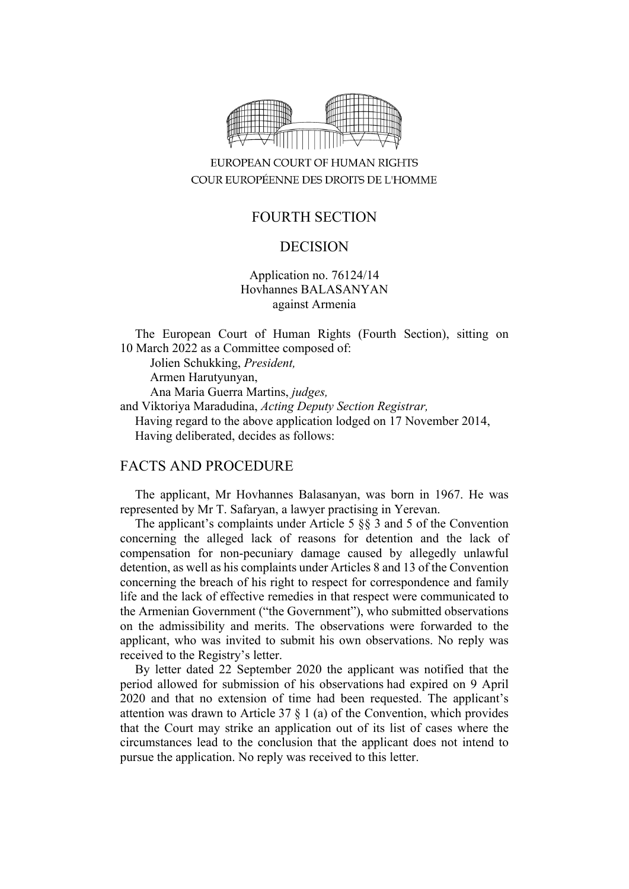

# EUROPEAN COURT OF HUMAN RIGHTS COUR EUROPÉENNE DES DROITS DE L'HOMME

# FOURTH SECTION

### DECISION

Application no. 76124/14 Hovhannes BALASANYAN against Armenia

The European Court of Human Rights (Fourth Section), sitting on 10 March 2022 as a Committee composed of:

Jolien Schukking, *President,*

Armen Harutyunyan,

Ana Maria Guerra Martins, *judges,*

and Viktoriya Maradudina, *Acting Deputy Section Registrar,* Having regard to the above application lodged on 17 November 2014, Having deliberated, decides as follows:

### FACTS AND PROCEDURE

The applicant, Mr Hovhannes Balasanyan, was born in 1967. He was represented by Mr T. Safaryan, a lawyer practising in Yerevan.

The applicant's complaints under Article 5 §§ 3 and 5 of the Convention concerning the alleged lack of reasons for detention and the lack of compensation for non-pecuniary damage caused by allegedly unlawful detention, as well as his complaints under Articles 8 and 13 of the Convention concerning the breach of his right to respect for correspondence and family life and the lack of effective remedies in that respect were communicated to the Armenian Government ("the Government"), who submitted observations on the admissibility and merits. The observations were forwarded to the applicant, who was invited to submit his own observations. No reply was received to the Registry's letter.

By letter dated 22 September 2020 the applicant was notified that the period allowed for submission of his observations had expired on 9 April 2020 and that no extension of time had been requested. The applicant's attention was drawn to Article 37 § 1 (a) of the Convention, which provides that the Court may strike an application out of its list of cases where the circumstances lead to the conclusion that the applicant does not intend to pursue the application. No reply was received to this letter.